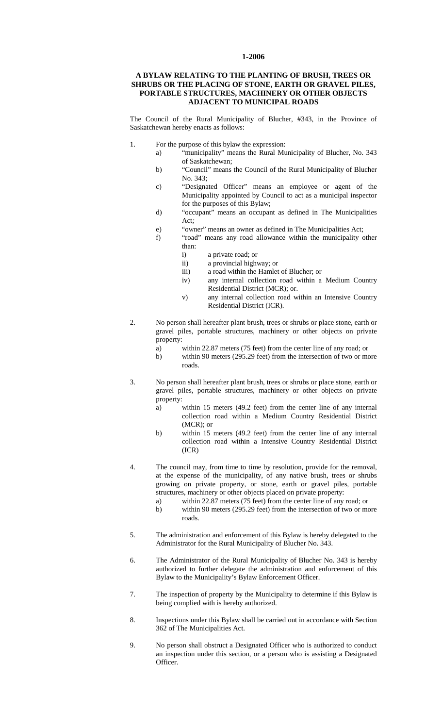## **1-2006**

## **A BYLAW RELATING TO THE PLANTING OF BRUSH, TREES OR SHRUBS OR THE PLACING OF STONE, EARTH OR GRAVEL PILES, PORTABLE STRUCTURES, MACHINERY OR OTHER OBJECTS ADJACENT TO MUNICIPAL ROADS**

The Council of the Rural Municipality of Blucher, #343, in the Province of Saskatchewan hereby enacts as follows:

- 1. For the purpose of this bylaw the expression:
	- a) "municipality" means the Rural Municipality of Blucher, No. 343 of Saskatchewan;
	- b) "Council" means the Council of the Rural Municipality of Blucher No. 343;
	- c) "Designated Officer" means an employee or agent of the Municipality appointed by Council to act as a municipal inspector for the purposes of this Bylaw;
	- d) "occupant" means an occupant as defined in The Municipalities Act*;*
	- e) "owner" means an owner as defined in The Municipalities Act;
	- f) "road" means any road allowance within the municipality other than:
		- i) a private road; or
		- ii) a provincial highway; or
		- iii) a road within the Hamlet of Blucher; or
		- iv) any internal collection road within a Medium Country Residential District (MCR); or.
		- v) any internal collection road within an Intensive Country Residential District (ICR).
- 2. No person shall hereafter plant brush, trees or shrubs or place stone, earth or gravel piles, portable structures, machinery or other objects on private property:
	- a) within 22.87 meters (75 feet) from the center line of any road; or
	- b) within 90 meters (295.29 feet) from the intersection of two or more roads.
- 3. No person shall hereafter plant brush, trees or shrubs or place stone, earth or gravel piles, portable structures, machinery or other objects on private property:
	- a) within 15 meters (49.2 feet) from the center line of any internal collection road within a Medium Country Residential District (MCR); or
	- b) within 15 meters (49.2 feet) from the center line of any internal collection road within a Intensive Country Residential District (ICR)
- 4. The council may, from time to time by resolution, provide for the removal, at the expense of the municipality, of any native brush, trees or shrubs growing on private property, or stone, earth or gravel piles, portable structures, machinery or other objects placed on private property:
	- a) within 22.87 meters (75 feet) from the center line of any road; or
	- b) within 90 meters (295.29 feet) from the intersection of two or more roads.
- 5. The administration and enforcement of this Bylaw is hereby delegated to the Administrator for the Rural Municipality of Blucher No. 343.
- 6. The Administrator of the Rural Municipality of Blucher No. 343 is hereby authorized to further delegate the administration and enforcement of this Bylaw to the Municipality's Bylaw Enforcement Officer.
- 7. The inspection of property by the Municipality to determine if this Bylaw is being complied with is hereby authorized.
- 8. Inspections under this Bylaw shall be carried out in accordance with Section 362 of The Municipalities Act.
- 9. No person shall obstruct a Designated Officer who is authorized to conduct an inspection under this section, or a person who is assisting a Designated Officer.